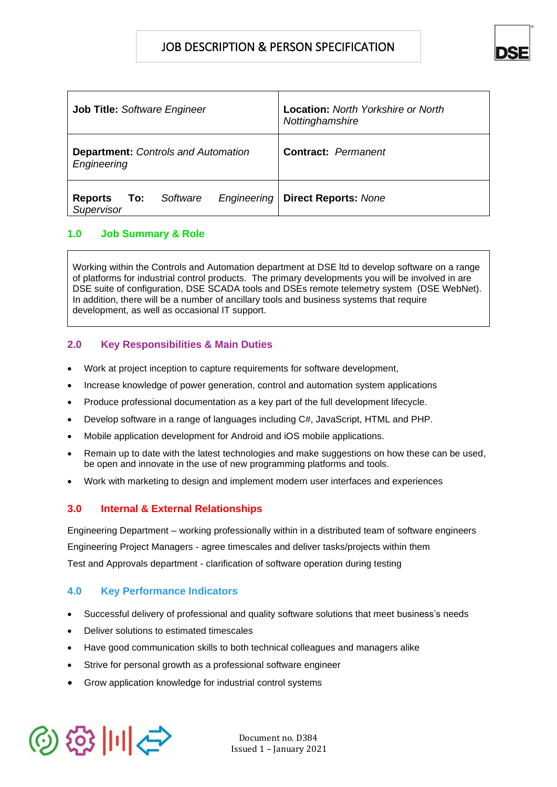# JOB DESCRIPTION & PERSON SPECIFICATION



| <b>Job Title: Software Engineer</b>                            | <b>Location:</b> North Yorkshire or North<br>Nottinghamshire |
|----------------------------------------------------------------|--------------------------------------------------------------|
| <b>Department: Controls and Automation</b><br>Engineering      | <b>Contract:</b> Permanent                                   |
| Software<br>Engineering<br><b>Reports</b><br>To:<br>Supervisor | <b>Direct Reports: None</b>                                  |

## **1.0 Job Summary & Role**

Working within the Controls and Automation department at DSE ltd to develop software on a range of platforms for industrial control products. The primary developments you will be involved in are DSE suite of configuration, DSE SCADA tools and DSEs remote telemetry system (DSE WebNet). In addition, there will be a number of ancillary tools and business systems that require development, as well as occasional IT support.

## **2.0 Key Responsibilities & Main Duties**

- Work at project inception to capture requirements for software development,
- Increase knowledge of power generation, control and automation system applications
- Produce professional documentation as a key part of the full development lifecycle.
- Develop software in a range of languages including C#, JavaScript, HTML and PHP.
- Mobile application development for Android and iOS mobile applications.
- Remain up to date with the latest technologies and make suggestions on how these can be used, be open and innovate in the use of new programming platforms and tools.
- Work with marketing to design and implement modern user interfaces and experiences

## **3.0 Internal & External Relationships**

Engineering Department – working professionally within in a distributed team of software engineers Engineering Project Managers - agree timescales and deliver tasks/projects within them Test and Approvals department - clarification of software operation during testing

## **4.0 Key Performance Indicators**

- Successful delivery of professional and quality software solutions that meet business's needs
- Deliver solutions to estimated timescales
- Have good communication skills to both technical colleagues and managers alike
- Strive for personal growth as a professional software engineer
- Grow application knowledge for industrial control systems



Document no. D384 Issued 1 – January 2021